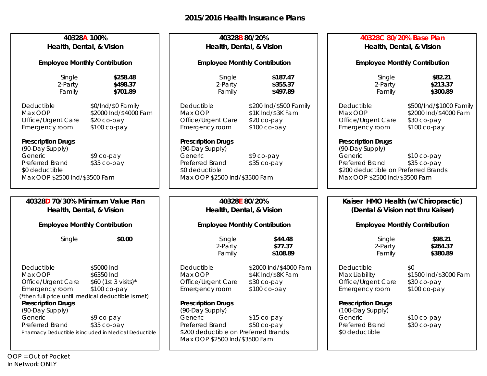| 40328A 100%<br>Health, Dental, & Vision                                                                                                          |                                                                                    | 40328B 80/20%<br>Health, Dental, & Vision                                                                              |                                                                            | 40328C 80/20% Base Plan<br>Health, Dental, & Vision                                                                    |                                                                                 |
|--------------------------------------------------------------------------------------------------------------------------------------------------|------------------------------------------------------------------------------------|------------------------------------------------------------------------------------------------------------------------|----------------------------------------------------------------------------|------------------------------------------------------------------------------------------------------------------------|---------------------------------------------------------------------------------|
| <b>Employee Monthly Contribution</b>                                                                                                             |                                                                                    | <b>Employee Monthly Contribution</b>                                                                                   |                                                                            | <b>Employee Monthly Contribution</b>                                                                                   |                                                                                 |
| Single<br>2-Party<br>Family                                                                                                                      | \$258.48<br>\$498.37<br>\$701.89                                                   | Single<br>2-Party<br>Family                                                                                            | \$187.47<br>\$355.37<br>\$497.89                                           | Single<br>2-Party<br>Family                                                                                            | \$82.21<br>\$213.37<br>\$300.89                                                 |
| Deductible<br>Max OOP<br>Office/Urgent Care<br>Emergency room<br><b>Prescription Drugs</b>                                                       | \$0/Ind/\$0 Family<br>\$2000 Ind/\$4000 Fam<br>$$20$ co-pay<br>\$100 co-pay        | Deductible<br>Max OOP<br>Office/Urgent Care<br>Emergency room<br><b>Prescription Drugs</b>                             | \$200 Ind/\$500 Family<br>\$1K Ind/\$3K Fam<br>\$20 co-pay<br>\$100 co-pay | Deductible<br>Max OOP<br>Office/Urgent Care<br>Emergency room<br><b>Prescription Drugs</b>                             | \$500/Ind/\$1000 Family<br>\$2000 Ind/\$4000 Fam<br>\$30 co-pay<br>\$100 co-pay |
| (90-Day Supply)<br>Generic<br>Preferred Brand<br>\$0 deductible<br>Max OOP \$2500 Ind/\$3500 Fam                                                 | \$9 co-pay<br>\$35 co-pay                                                          | (90-Day Supply)<br>Generic<br>Preferred Brand<br>\$0 deductible<br>Max OOP \$2500 Ind/\$3500 Fam                       | \$9 co-pay<br>\$35 co-pay                                                  | (90-Day Supply)<br>Generic<br>Preferred Brand<br>\$200 deductible on Preferred Brands<br>Max OOP \$2500 Ind/\$3500 Fam | \$10 co-pay<br>\$35 co-pay                                                      |
| 40328D 70/30% Minimum Value Plan                                                                                                                 |                                                                                    | 40328E 80/20%                                                                                                          |                                                                            | Kaiser HMO Health (w/Chiropractic)                                                                                     |                                                                                 |
| Health, Dental, & Vision                                                                                                                         |                                                                                    | Health, Dental, & Vision                                                                                               |                                                                            | (Dental & Vision not thru Kaiser)                                                                                      |                                                                                 |
| <b>Employee Monthly Contribution</b>                                                                                                             |                                                                                    | <b>Employee Monthly Contribution</b>                                                                                   |                                                                            | <b>Employee Monthly Contribution</b>                                                                                   |                                                                                 |
| Single                                                                                                                                           | \$0.00                                                                             | Single<br>2-Party<br>Family                                                                                            | \$44.48<br>\$77.37<br>\$108.89                                             | Single<br>2-Party<br>Family                                                                                            | \$98.21<br>\$264.37<br>\$380.89                                                 |
| Deductible<br>Max OOP<br>Office/Urgent Care<br>Emergency room<br>(*then full price until medical deductible is met)<br><b>Prescription Drugs</b> | \$5000 Ind<br>\$6350 Ind<br>\$60 (1st 3 visits)*<br>\$100 co-pay                   | Deductible<br>Max OOP<br>Office/Urgent Care<br>Emergency room<br><b>Prescription Drugs</b>                             | \$2000 Ind/\$4000 Fam<br>\$4K Ind/\$8K Fam<br>\$30 co-pay<br>\$100 co-pay  | Deductible<br>Max Liability<br>Office/Urgent Care<br>Emergency room<br><b>Prescription Drugs</b>                       | \$0<br>\$1500 Ind/\$3000 Fam<br>\$30 co-pay<br>\$100 co-pay                     |
| (90-Day Supply)<br>Generic<br>Preferred Brand                                                                                                    | \$9 co-pay<br>\$35 co-pay<br>Pharmacy Deductible is included in Medical Deductible | (90-Day Supply)<br>Generic<br>Preferred Brand<br>\$200 deductible on Preferred Brands<br>Max OOP \$2500 Ind/\$3500 Fam | \$15 co-pay<br>$$50 co-pay$                                                | (100-Day Supply)<br>Generic<br>Preferred Brand<br>\$0 deductible                                                       | \$10 co-pay<br>\$30 co-pay                                                      |

*OOP = Out of Pocket In Network ONLY*